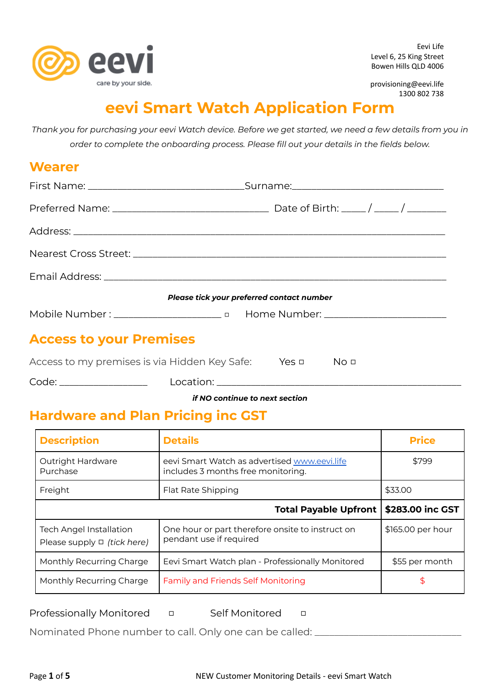

Eevi Life Level 6, 25 King Street Bowen Hills QLD 4006

provisioning@eevi.life 1300 802 738

# **eevi Smart Watch Application Form**

Thank you for purchasing your eevi Watch device. Before we get started, we need a few details from you in *order to complete the onboarding process. Please fill out your details in the fields below.*

### **Wearer**

|                                                                    | Please tick your preferred contact number |
|--------------------------------------------------------------------|-------------------------------------------|
|                                                                    |                                           |
| <b>Access to your Premises</b>                                     |                                           |
| Access to my premises is via Hidden Key Safe: Yes $\Box$ No $\Box$ |                                           |

Code: \_\_\_\_\_\_\_\_\_\_\_\_\_\_\_\_\_\_ Location: \_\_\_\_\_\_\_\_\_\_\_\_\_\_\_\_\_\_\_\_\_\_\_\_\_\_\_\_\_\_\_\_\_\_\_\_\_\_\_\_\_\_\_\_\_\_\_\_\_\_

*if NO continue to next section*

# **Hardware and Plan Pricing inc GST**

| <b>Description</b>                                                 | <b>Details</b>                                                                     | <b>Price</b>      |
|--------------------------------------------------------------------|------------------------------------------------------------------------------------|-------------------|
| Outright Hardware<br>Purchase                                      | eevi Smart Watch as advertised www.eevi.life<br>includes 3 months free monitoring. | \$799             |
| Freight                                                            | Flat Rate Shipping                                                                 | \$33.00           |
|                                                                    | <b>Total Payable Upfront</b>                                                       | \$283.00 inc GST  |
| <b>Tech Angel Installation</b><br>Please supply $\Box$ (tick here) | One hour or part therefore onsite to instruct on<br>pendant use if required        | \$165.00 per hour |
| Monthly Recurring Charge                                           | Eevi Smart Watch plan - Professionally Monitored                                   | \$55 per month    |
| Monthly Recurring Charge                                           | <b>Family and Friends Self Monitoring</b>                                          |                   |

Professionally Monitored □ Self Monitored □

Nominated Phone number to call. Only one can be called: \_\_\_\_\_\_\_\_\_\_\_\_\_\_\_\_\_\_\_\_\_\_\_\_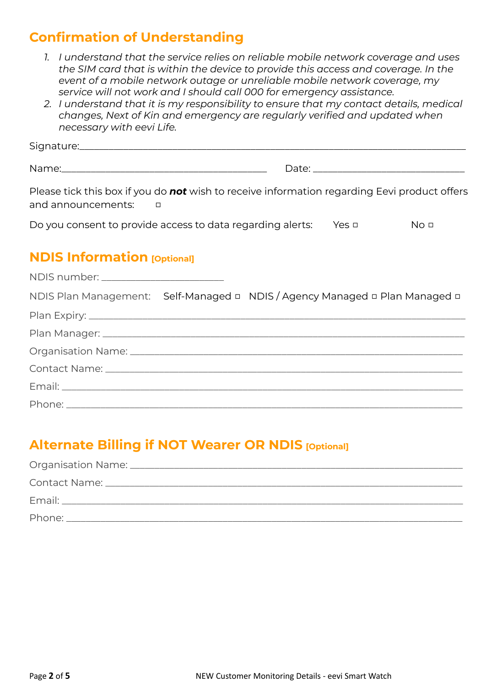## **Confirmation of Understanding**

- *1. I understand that the service relies on reliable mobile network coverage and uses the SIM card that is within the device to provide this access and coverage. In the event of a mobile network outage or unreliable mobile network coverage, my service will not work and I should call 000 for emergency assistance.*
- *2. I understand that it is my responsibility to ensure that my contact details, medical changes, Next of Kin and emergency are regularly verified and updated when necessary with eevi Life.*

Signature:

Name: where the contract of the contract of the contract of the contract of the contract of the contract of the contract of the contract of the contract of the contract of the contract of the contract of the contract of th

Please tick this box if you do *not* wish to receive information regarding Eevi product offers and announcements: □

| Do you consent to provide access to data regarding alerts: | Yes □ | No <sub>0</sub> |
|------------------------------------------------------------|-------|-----------------|
|                                                            |       |                 |

### **NDIS Information [Optional]**

| NDIS number: _________________________                                                                                                                                                                                         |                                                                             |
|--------------------------------------------------------------------------------------------------------------------------------------------------------------------------------------------------------------------------------|-----------------------------------------------------------------------------|
|                                                                                                                                                                                                                                | NDIS Plan Management: Self-Managed □ NDIS / Agency Managed □ Plan Managed □ |
|                                                                                                                                                                                                                                |                                                                             |
|                                                                                                                                                                                                                                |                                                                             |
|                                                                                                                                                                                                                                |                                                                             |
|                                                                                                                                                                                                                                |                                                                             |
| Email: North American Communication of the Communication of the Communication of the Communication of the Communication of the Communication of the Communication of the Communication of the Communication of the Communicati |                                                                             |
|                                                                                                                                                                                                                                |                                                                             |

# **Alternate Billing if NOT Wearer OR NDIS [Optional]**

| Phone: |
|--------|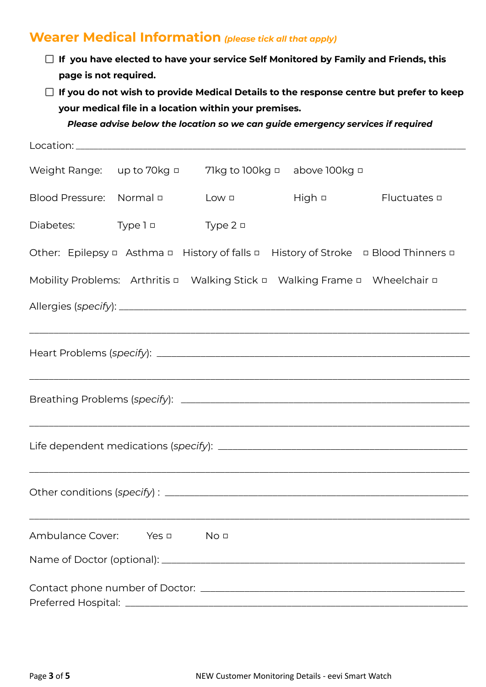### **Wearer Medical Information** *(please tick all that apply)*

- **If you have elected to have your service Self Monitored by Family and Friends, this page is not required.**
- **If you do not wish to provide Medical Details to the response centre but prefer to keep your medical file in a location within your premises.**

*Please advise below the location so we can guide emergency services if required*

| Weight Range: up to 70kg $\Box$ |                                 | 71kg to 100kg $\Box$ above 100kg $\Box$                                     |               |                                                                                                                                                                      |
|---------------------------------|---------------------------------|-----------------------------------------------------------------------------|---------------|----------------------------------------------------------------------------------------------------------------------------------------------------------------------|
|                                 | Blood Pressure: Normal <b>D</b> | Low <b>D</b>                                                                | High <b>o</b> | Fluctuates □                                                                                                                                                         |
| Diabetes:                       | Type 1 □                        | Type $2 \Box$                                                               |               |                                                                                                                                                                      |
|                                 |                                 |                                                                             |               | Other: Epilepsy a Asthma a History of falls a History of Stroke a Blood Thinners a                                                                                   |
|                                 |                                 | Mobility Problems: Arthritis a Walking Stick a Walking Frame a Wheelchair a |               |                                                                                                                                                                      |
|                                 |                                 |                                                                             |               |                                                                                                                                                                      |
|                                 |                                 |                                                                             |               | ,我们就会在这里的人,我们就会在这里的人,我们就会在这里的人,我们就会在这里,我们就会在这里的人,我们就会在这里的人,我们就会在这里的人,我们就会在这里的人,我<br>第251章 我们的人,我们就会在这里的人,我们就会在这里的人,我们就会在这里的人,我们就会在这里的人,我们就会在这里的人,我们就会在这里的人,我们就会在这里,我 |
|                                 |                                 |                                                                             |               |                                                                                                                                                                      |
|                                 |                                 |                                                                             |               | ,我们就会在这里的人,我们就会在这里的人,我们就会在这里的人,我们就会在这里的人,我们就会在这里的人,我们就会在这里的人,我们就会在这里的人,我们就会在这里,我<br>第251章 我们的人,我们就会在这里,我们的人,我们就会在这里,我们的人,我们就会在这里,我们的人,我们就会在这里,我们就会在这里,我们就会在这里,我们就会在这 |
|                                 |                                 |                                                                             |               |                                                                                                                                                                      |
|                                 |                                 |                                                                             |               |                                                                                                                                                                      |
|                                 |                                 |                                                                             |               |                                                                                                                                                                      |
|                                 |                                 |                                                                             |               |                                                                                                                                                                      |
|                                 |                                 |                                                                             |               |                                                                                                                                                                      |
|                                 |                                 |                                                                             |               |                                                                                                                                                                      |
| Ambulance Cover:                | Yes $\Box$                      | No <sub>0</sub>                                                             |               |                                                                                                                                                                      |
|                                 |                                 |                                                                             |               |                                                                                                                                                                      |
|                                 |                                 |                                                                             |               |                                                                                                                                                                      |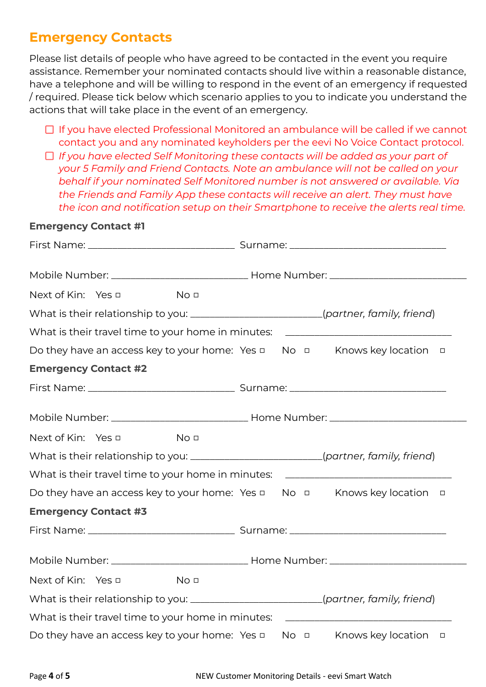### **Emergency Contacts**

Please list details of people who have agreed to be contacted in the event you require assistance. Remember your nominated contacts should live within a reasonable distance, have a telephone and will be willing to respond in the event of an emergency if requested / required. Please tick below which scenario applies to you to indicate you understand the actions that will take place in the event of an emergency.

- $\Box$  If you have elected Professional Monitored an ambulance will be called if we cannot contact you and any nominated keyholders per the eevi No Voice Contact protocol.
- *If you have elected Self Monitoring these contacts will be added as your part of your 5 Family and Friend Contacts. Note an ambulance will not be called on your behalf if your nominated Self Monitored number is not answered or available. Via the Friends and Family App these contacts will receive an alert. They must have the icon and notification setup on their Smartphone to receive the alerts real time.*

#### **Emergency Contact #1**

| Next of Kin: Yes □          |                                                     | No <sub>0</sub> |  |  |  |                                                                                            |
|-----------------------------|-----------------------------------------------------|-----------------|--|--|--|--------------------------------------------------------------------------------------------|
|                             |                                                     |                 |  |  |  | What is their relationship to you: ________________________(partner, family, friend)       |
|                             |                                                     |                 |  |  |  | What is their travel time to your home in minutes: _____________________________           |
|                             |                                                     |                 |  |  |  | Do they have an access key to your home: Yes $\Box$ No $\Box$ Knows key location<br>$\Box$ |
| <b>Emergency Contact #2</b> |                                                     |                 |  |  |  |                                                                                            |
|                             |                                                     |                 |  |  |  |                                                                                            |
|                             |                                                     |                 |  |  |  |                                                                                            |
| Next of Kin: Yes □          |                                                     | No <sub>0</sub> |  |  |  |                                                                                            |
|                             |                                                     |                 |  |  |  | What is their relationship to you: _______________________(partner, family, friend)        |
|                             |                                                     |                 |  |  |  | What is their travel time to your home in minutes: _____________________________           |
|                             |                                                     |                 |  |  |  | Do they have an access key to your home: Yes $\Box$ No $\Box$ Knows key location $\Box$    |
| <b>Emergency Contact #3</b> |                                                     |                 |  |  |  |                                                                                            |
|                             |                                                     |                 |  |  |  |                                                                                            |
|                             |                                                     |                 |  |  |  |                                                                                            |
| Next of Kin: Yes □          | <u>Nou</u>                                          |                 |  |  |  |                                                                                            |
|                             |                                                     |                 |  |  |  | What is their relationship to you: _______________________(partner, family, friend)        |
|                             |                                                     |                 |  |  |  | What is their travel time to your home in minutes: _____________________________           |
|                             | Do they have an access key to your home: Yes $\Box$ |                 |  |  |  | No <b>D</b> Knows key location <b>D</b>                                                    |